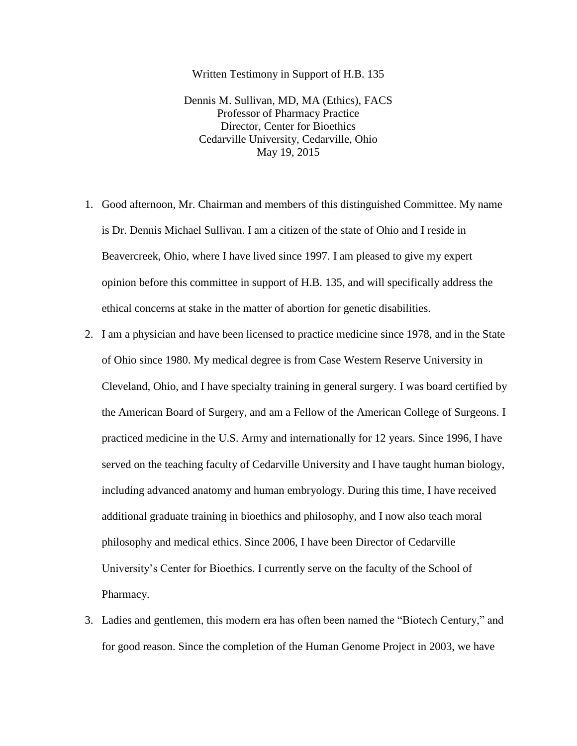Written Testimony in Support of H.B. 135

Dennis M. Sullivan, MD, MA (Ethics), FACS Professor of Pharmacy Practice Director, Center for Bioethics Cedarville University, Cedarville, Ohio May 19, 2015

- 1. Good afternoon, Mr. Chairman and members of this distinguished Committee. My name is Dr. Dennis Michael Sullivan. I am a citizen of the state of Ohio and I reside in Beavercreek, Ohio, where I have lived since 1997. I am pleased to give my expert opinion before this committee in support of H.B. 135, and will specifically address the ethical concerns at stake in the matter of abortion for genetic disabilities.
- 2. I am a physician and have been licensed to practice medicine since 1978, and in the State of Ohio since 1980. My medical degree is from Case Western Reserve University in Cleveland, Ohio, and I have specialty training in general surgery. I was board certified by the American Board of Surgery, and am a Fellow of the American College of Surgeons. I practiced medicine in the U.S. Army and internationally for 12 years. Since 1996, I have served on the teaching faculty of Cedarville University and I have taught human biology, including advanced anatomy and human embryology. During this time, I have received additional graduate training in bioethics and philosophy, and I now also teach moral philosophy and medical ethics. Since 2006, I have been Director of Cedarville University's Center for Bioethics. I currently serve on the faculty of the School of Pharmacy.
- 3. Ladies and gentlemen, this modern era has often been named the "Biotech Century," and for good reason. Since the completion of the Human Genome Project in 2003, we have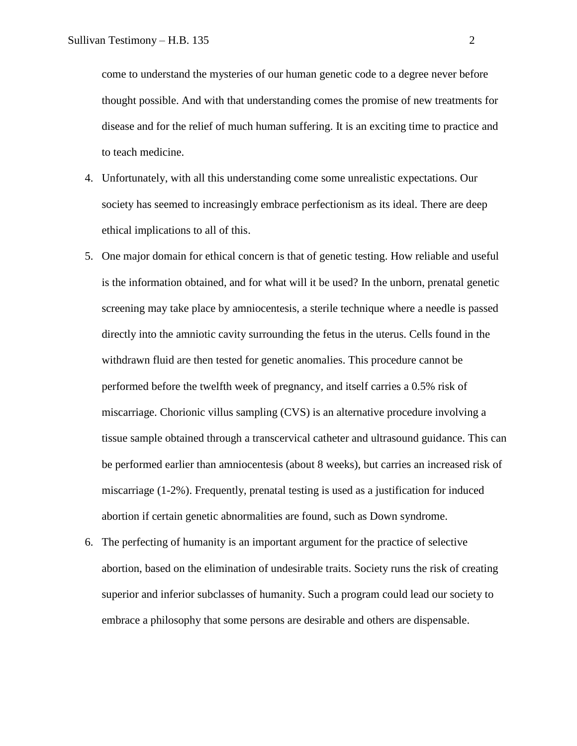come to understand the mysteries of our human genetic code to a degree never before thought possible. And with that understanding comes the promise of new treatments for disease and for the relief of much human suffering. It is an exciting time to practice and to teach medicine.

- 4. Unfortunately, with all this understanding come some unrealistic expectations. Our society has seemed to increasingly embrace perfectionism as its ideal. There are deep ethical implications to all of this.
- 5. One major domain for ethical concern is that of genetic testing. How reliable and useful is the information obtained, and for what will it be used? In the unborn, prenatal genetic screening may take place by amniocentesis, a sterile technique where a needle is passed directly into the amniotic cavity surrounding the fetus in the uterus. Cells found in the withdrawn fluid are then tested for genetic anomalies. This procedure cannot be performed before the twelfth week of pregnancy, and itself carries a 0.5% risk of miscarriage. Chorionic villus sampling (CVS) is an alternative procedure involving a tissue sample obtained through a transcervical catheter and ultrasound guidance. This can be performed earlier than amniocentesis (about 8 weeks), but carries an increased risk of miscarriage (1-2%). Frequently, prenatal testing is used as a justification for induced abortion if certain genetic abnormalities are found, such as Down syndrome.
- 6. The perfecting of humanity is an important argument for the practice of selective abortion, based on the elimination of undesirable traits. Society runs the risk of creating superior and inferior subclasses of humanity. Such a program could lead our society to embrace a philosophy that some persons are desirable and others are dispensable.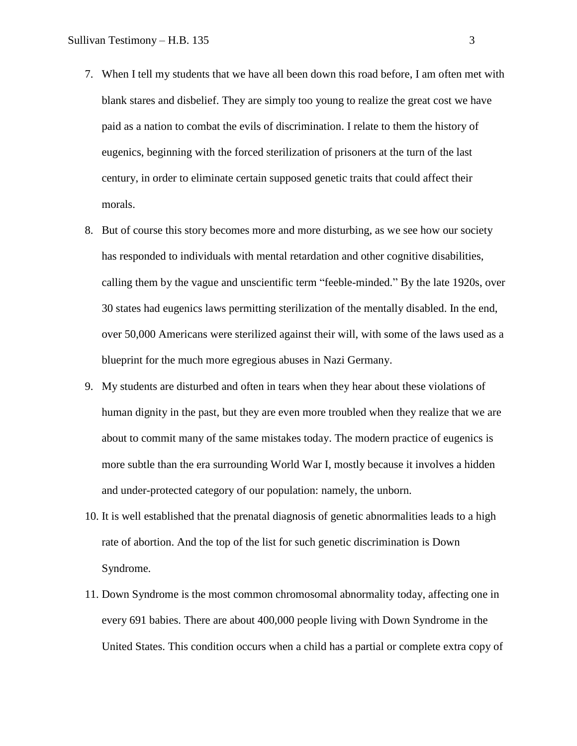- 7. When I tell my students that we have all been down this road before, I am often met with blank stares and disbelief. They are simply too young to realize the great cost we have paid as a nation to combat the evils of discrimination. I relate to them the history of eugenics, beginning with the forced sterilization of prisoners at the turn of the last century, in order to eliminate certain supposed genetic traits that could affect their morals.
- 8. But of course this story becomes more and more disturbing, as we see how our society has responded to individuals with mental retardation and other cognitive disabilities, calling them by the vague and unscientific term "feeble-minded." By the late 1920s, over 30 states had eugenics laws permitting sterilization of the mentally disabled. In the end, over 50,000 Americans were sterilized against their will, with some of the laws used as a blueprint for the much more egregious abuses in Nazi Germany.
- 9. My students are disturbed and often in tears when they hear about these violations of human dignity in the past, but they are even more troubled when they realize that we are about to commit many of the same mistakes today. The modern practice of eugenics is more subtle than the era surrounding World War I, mostly because it involves a hidden and under-protected category of our population: namely, the unborn.
- 10. It is well established that the prenatal diagnosis of genetic abnormalities leads to a high rate of abortion. And the top of the list for such genetic discrimination is Down Syndrome.
- 11. Down Syndrome is the most common chromosomal abnormality today, affecting one in every 691 babies. There are about 400,000 people living with Down Syndrome in the United States. This condition occurs when a child has a partial or complete extra copy of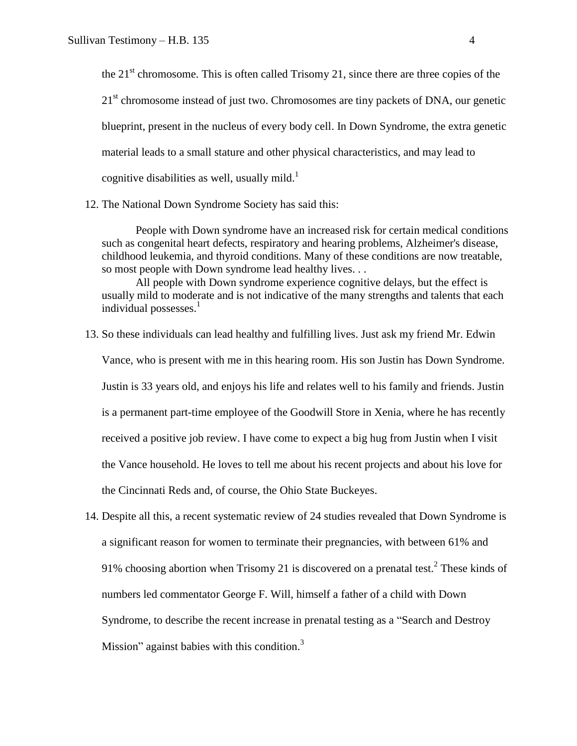the  $21<sup>st</sup>$  chromosome. This is often called Trisomy 21, since there are three copies of the 21<sup>st</sup> chromosome instead of just two. Chromosomes are tiny packets of DNA, our genetic blueprint, present in the nucleus of every body cell. In Down Syndrome, the extra genetic material leads to a small stature and other physical characteristics, and may lead to cognitive disabilities as well, usually mild. $<sup>1</sup>$ </sup>

12. The National Down Syndrome Society has said this:

People with Down syndrome have an increased risk for certain medical conditions such as congenital heart defects, respiratory and hearing problems, Alzheimer's disease, childhood leukemia, and thyroid conditions. Many of these conditions are now treatable, so most people with Down syndrome lead healthy lives. . .

All people with Down syndrome experience cognitive delays, but the effect is usually mild to moderate and is not indicative of the many strengths and talents that each individual possesses. $<sup>1</sup>$ </sup>

- 13. So these individuals can lead healthy and fulfilling lives. Just ask my friend Mr. Edwin Vance, who is present with me in this hearing room. His son Justin has Down Syndrome. Justin is 33 years old, and enjoys his life and relates well to his family and friends. Justin is a permanent part-time employee of the Goodwill Store in Xenia, where he has recently received a positive job review. I have come to expect a big hug from Justin when I visit the Vance household. He loves to tell me about his recent projects and about his love for the Cincinnati Reds and, of course, the Ohio State Buckeyes.
- 14. Despite all this, a recent systematic review of 24 studies revealed that Down Syndrome is a significant reason for women to terminate their pregnancies, with between 61% and 91% choosing abortion when Trisomy 21 is discovered on a prenatal test.<sup>2</sup> These kinds of numbers led commentator George F. Will, himself a father of a child with Down Syndrome, to describe the recent increase in prenatal testing as a "Search and Destroy Mission" against babies with this condition. $3$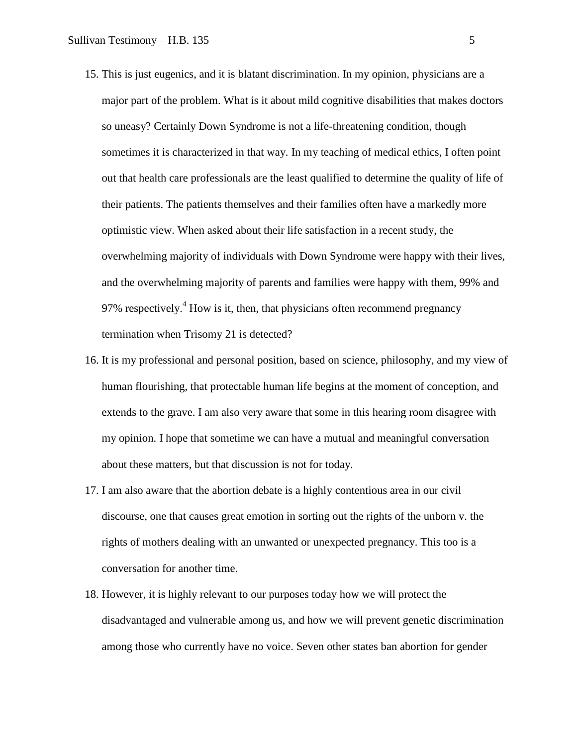- 15. This is just eugenics, and it is blatant discrimination. In my opinion, physicians are a major part of the problem. What is it about mild cognitive disabilities that makes doctors so uneasy? Certainly Down Syndrome is not a life-threatening condition, though sometimes it is characterized in that way. In my teaching of medical ethics, I often point out that health care professionals are the least qualified to determine the quality of life of their patients. The patients themselves and their families often have a markedly more optimistic view. When asked about their life satisfaction in a recent study, the overwhelming majority of individuals with Down Syndrome were happy with their lives, and the overwhelming majority of parents and families were happy with them, 99% and 97% respectively.<sup>4</sup> How is it, then, that physicians often recommend pregnancy termination when Trisomy 21 is detected?
- 16. It is my professional and personal position, based on science, philosophy, and my view of human flourishing, that protectable human life begins at the moment of conception, and extends to the grave. I am also very aware that some in this hearing room disagree with my opinion. I hope that sometime we can have a mutual and meaningful conversation about these matters, but that discussion is not for today.
- 17. I am also aware that the abortion debate is a highly contentious area in our civil discourse, one that causes great emotion in sorting out the rights of the unborn v. the rights of mothers dealing with an unwanted or unexpected pregnancy. This too is a conversation for another time.
- 18. However, it is highly relevant to our purposes today how we will protect the disadvantaged and vulnerable among us, and how we will prevent genetic discrimination among those who currently have no voice. Seven other states ban abortion for gender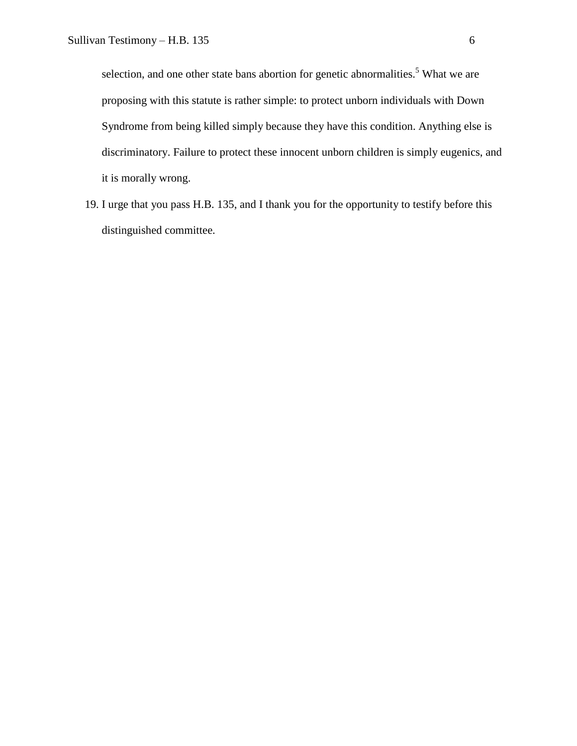selection, and one other state bans abortion for genetic abnormalities.<sup>5</sup> What we are proposing with this statute is rather simple: to protect unborn individuals with Down Syndrome from being killed simply because they have this condition. Anything else is discriminatory. Failure to protect these innocent unborn children is simply eugenics, and it is morally wrong.

19. I urge that you pass H.B. 135, and I thank you for the opportunity to testify before this distinguished committee.